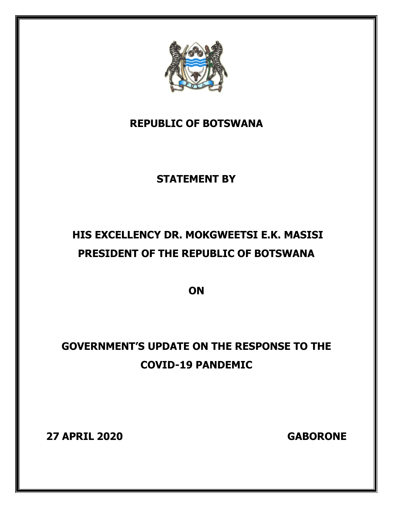

### **REPUBLIC OF BOTSWANA**

## **STATEMENT BY**

# **HIS EXCELLENCY DR. MOKGWEETSI E.K. MASISI PRESIDENT OF THE REPUBLIC OF BOTSWANA**

**ON** 

# **GOVERNMENT'S UPDATE ON THE RESPONSE TO THE COVID-19 PANDEMIC**

**27 APRIL 2020 GABORONE**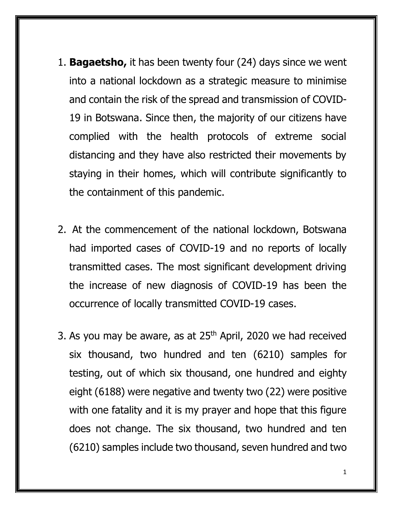- 1. **Bagaetsho,** it has been twenty four (24) days since we went into a national lockdown as a strategic measure to minimise and contain the risk of the spread and transmission of COVID-19 in Botswana. Since then, the majority of our citizens have complied with the health protocols of extreme social distancing and they have also restricted their movements by staying in their homes, which will contribute significantly to the containment of this pandemic.
- 2. At the commencement of the national lockdown, Botswana had imported cases of COVID-19 and no reports of locally transmitted cases. The most significant development driving the increase of new diagnosis of COVID-19 has been the occurrence of locally transmitted COVID-19 cases.
- 3. As you may be aware, as at  $25<sup>th</sup>$  April, 2020 we had received six thousand, two hundred and ten (6210) samples for testing, out of which six thousand, one hundred and eighty eight (6188) were negative and twenty two (22) were positive with one fatality and it is my prayer and hope that this figure does not change. The six thousand, two hundred and ten (6210) samples include two thousand, seven hundred and two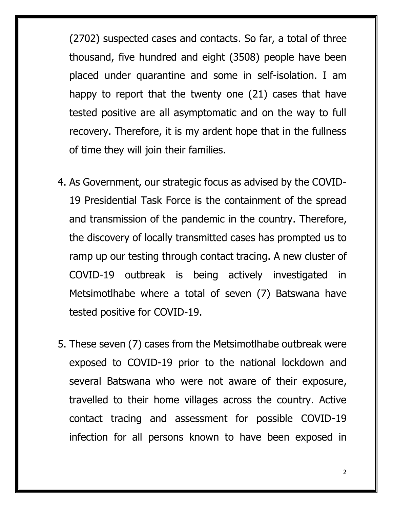(2702) suspected cases and contacts. So far, a total of three thousand, five hundred and eight (3508) people have been placed under quarantine and some in self-isolation. I am happy to report that the twenty one (21) cases that have tested positive are all asymptomatic and on the way to full recovery. Therefore, it is my ardent hope that in the fullness of time they will join their families.

- 4. As Government, our strategic focus as advised by the COVID-19 Presidential Task Force is the containment of the spread and transmission of the pandemic in the country. Therefore, the discovery of locally transmitted cases has prompted us to ramp up our testing through contact tracing. A new cluster of COVID-19 outbreak is being actively investigated in Metsimotlhabe where a total of seven (7) Batswana have tested positive for COVID-19.
- 5. These seven (7) cases from the Metsimotlhabe outbreak were exposed to COVID-19 prior to the national lockdown and several Batswana who were not aware of their exposure, travelled to their home villages across the country. Active contact tracing and assessment for possible COVID-19 infection for all persons known to have been exposed in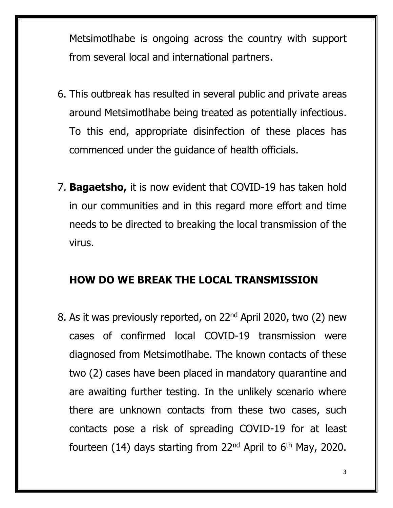Metsimotlhabe is ongoing across the country with support from several local and international partners.

- 6. This outbreak has resulted in several public and private areas around Metsimotlhabe being treated as potentially infectious. To this end, appropriate disinfection of these places has commenced under the guidance of health officials.
- 7. **Bagaetsho,** it is now evident that COVID-19 has taken hold in our communities and in this regard more effort and time needs to be directed to breaking the local transmission of the virus.

#### **HOW DO WE BREAK THE LOCAL TRANSMISSION**

8. As it was previously reported, on 22nd April 2020, two (2) new cases of confirmed local COVID-19 transmission were diagnosed from Metsimotlhabe. The known contacts of these two (2) cases have been placed in mandatory quarantine and are awaiting further testing. In the unlikely scenario where there are unknown contacts from these two cases, such contacts pose a risk of spreading COVID-19 for at least fourteen (14) days starting from 22<sup>nd</sup> April to  $6<sup>th</sup>$  May, 2020.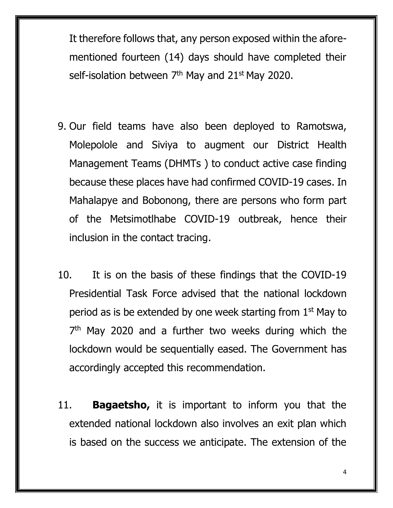It therefore follows that, any person exposed within the aforementioned fourteen (14) days should have completed their self-isolation between  $7<sup>th</sup>$  May and 21 $<sup>st</sup>$  May 2020.</sup>

- 9. Our field teams have also been deployed to Ramotswa, Molepolole and Siviya to augment our District Health Management Teams (DHMTs ) to conduct active case finding because these places have had confirmed COVID-19 cases. In Mahalapye and Bobonong, there are persons who form part of the Metsimotlhabe COVID-19 outbreak, hence their inclusion in the contact tracing.
- 10. It is on the basis of these findings that the COVID-19 Presidential Task Force advised that the national lockdown period as is be extended by one week starting from  $1<sup>st</sup>$  May to 7<sup>th</sup> May 2020 and a further two weeks during which the lockdown would be sequentially eased. The Government has accordingly accepted this recommendation.
- 11. **Bagaetsho,** it is important to inform you that the extended national lockdown also involves an exit plan which is based on the success we anticipate. The extension of the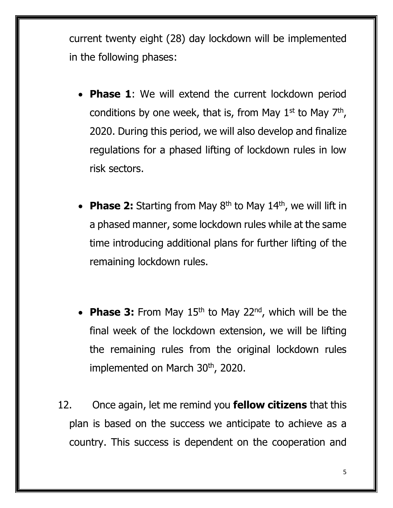current twenty eight (28) day lockdown will be implemented in the following phases:

- **Phase 1**: We will extend the current lockdown period conditions by one week, that is, from May  $1<sup>st</sup>$  to May  $7<sup>th</sup>$ , 2020. During this period, we will also develop and finalize regulations for a phased lifting of lockdown rules in low risk sectors.
- **Phase 2:** Starting from May 8<sup>th</sup> to May 14<sup>th</sup>, we will lift in a phased manner, some lockdown rules while at the same time introducing additional plans for further lifting of the remaining lockdown rules.
- **Phase 3:** From May 15<sup>th</sup> to May 22<sup>nd</sup>, which will be the final week of the lockdown extension, we will be lifting the remaining rules from the original lockdown rules implemented on March 30<sup>th</sup>, 2020.
- 12. Once again, let me remind you **fellow citizens** that this plan is based on the success we anticipate to achieve as a country. This success is dependent on the cooperation and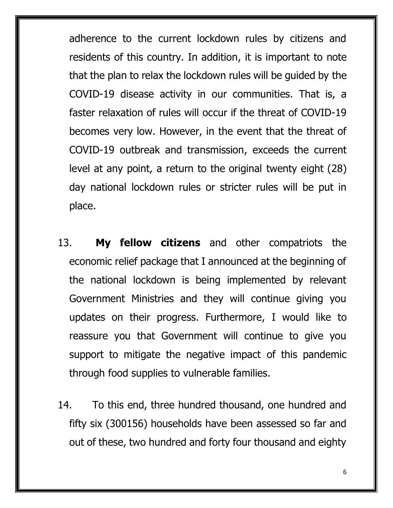adherence to the current lockdown rules by citizens and residents of this country. In addition, it is important to note that the plan to relax the lockdown rules will be guided by the COVID-19 disease activity in our communities. That is, a faster relaxation of rules will occur if the threat of COVID-19 becomes very low. However, in the event that the threat of COVID-19 outbreak and transmission, exceeds the current level at any point, a return to the original twenty eight (28) day national lockdown rules or stricter rules will be put in place.

- 13. **My fellow citizens** and other compatriots the economic relief package that I announced at the beginning of the national lockdown is being implemented by relevant Government Ministries and they will continue giving you updates on their progress. Furthermore, I would like to reassure you that Government will continue to give you support to mitigate the negative impact of this pandemic through food supplies to vulnerable families.
- 14. To this end, three hundred thousand, one hundred and fifty six (300156) households have been assessed so far and out of these, two hundred and forty four thousand and eighty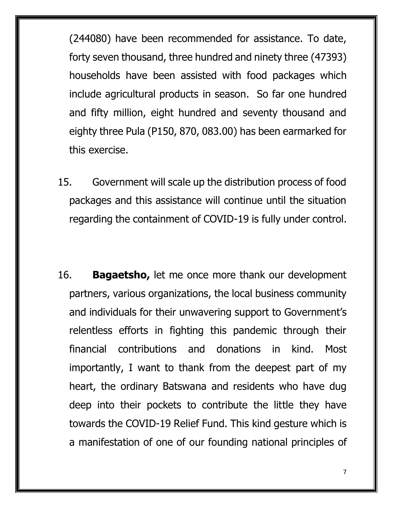(244080) have been recommended for assistance. To date, forty seven thousand, three hundred and ninety three (47393) households have been assisted with food packages which include agricultural products in season. So far one hundred and fifty million, eight hundred and seventy thousand and eighty three Pula (P150, 870, 083.00) has been earmarked for this exercise.

- 15. Government will scale up the distribution process of food packages and this assistance will continue until the situation regarding the containment of COVID-19 is fully under control.
- 16. **Bagaetsho,** let me once more thank our development partners, various organizations, the local business community and individuals for their unwavering support to Government's relentless efforts in fighting this pandemic through their financial contributions and donations in kind. Most importantly, I want to thank from the deepest part of my heart, the ordinary Batswana and residents who have dug deep into their pockets to contribute the little they have towards the COVID-19 Relief Fund. This kind gesture which is a manifestation of one of our founding national principles of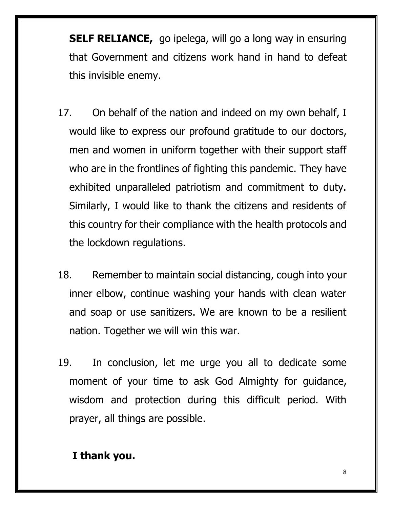**SELF RELIANCE,** go ipelega, will go a long way in ensuring that Government and citizens work hand in hand to defeat this invisible enemy.

- 17. On behalf of the nation and indeed on my own behalf, I would like to express our profound gratitude to our doctors, men and women in uniform together with their support staff who are in the frontlines of fighting this pandemic. They have exhibited unparalleled patriotism and commitment to duty. Similarly, I would like to thank the citizens and residents of this country for their compliance with the health protocols and the lockdown regulations.
- 18. Remember to maintain social distancing, cough into your inner elbow, continue washing your hands with clean water and soap or use sanitizers. We are known to be a resilient nation. Together we will win this war.
- 19. In conclusion, let me urge you all to dedicate some moment of your time to ask God Almighty for guidance, wisdom and protection during this difficult period. With prayer, all things are possible.

#### **I thank you.**